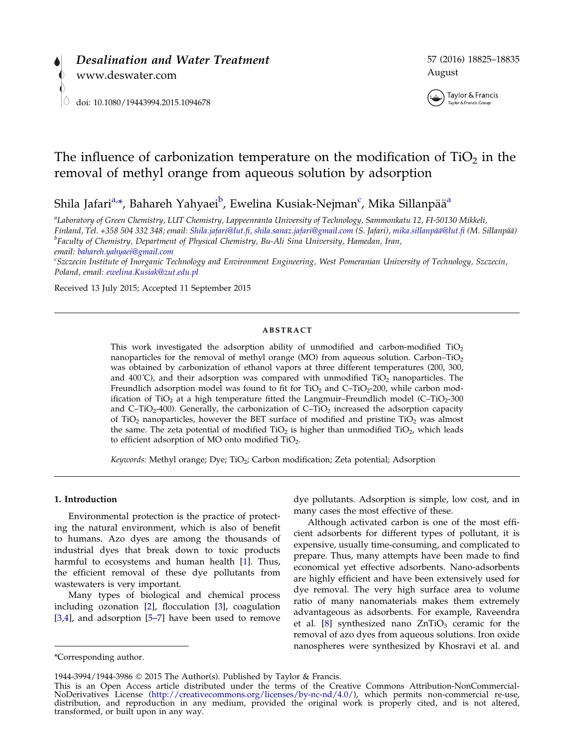



# The influence of carbonization temperature on the modification of  $TiO<sub>2</sub>$  in the removal of methyl orange from aqueous solution by adsorption

Shila Jafari<sup>a,</sup>\*, Bahareh Yahyaei<sup>b</sup>, Ewelina Kusiak-Nejman<sup>c</sup>, Mika Sillanpää<sup>a</sup>

a Laboratory of Green Chemistry, LUT Chemistry, Lappeenranta University of Technology, Sammonkatu 12, FI-50130 Mikkeli, Finland, Tel. +358 504 332 348; email: [Shila.jafari@lut.fi,](mailto:Shila.jafari@lut.fi) [shila.sanaz.jafari@gmail.com](mailto:shila.sanaz.jafari@gmail.com) (S. Jafari), mika.sillanpää@lut.fi (M. Sillanpää)  ${}^{b}$ Faculty of Chemistry, Department of Physical Chemistry, Bu-Ali Sina University, Hamedan, Iran, email: [bahareh.yahyaei@gmail.com](mailto:bahareh.yahyaei@gmail.com) <sup>c</sup>

Szczecin Institute of Inorganic Technology and Environment Engineering, West Pomeranian University of Technology, Szczecin, Poland, email: [ewelina.Kusiak@zut.edu.pl](mailto:ewelina.Kusiak@zut.edu.pl)

Received 13 July 2015; Accepted 11 September 2015

## **ABSTRACT**

This work investigated the adsorption ability of unmodified and carbon-modified  $TiO<sub>2</sub>$ nanoparticles for the removal of methyl orange (MO) from aqueous solution. Carbon–TiO<sub>2</sub> was obtained by carbonization of ethanol vapors at three different temperatures (200, 300, and 400°C), and their adsorption was compared with unmodified  $TiO<sub>2</sub>$  nanoparticles. The Freundlich adsorption model was found to fit for  $TiO<sub>2</sub>$  and  $C-TiO<sub>2</sub>-200$ , while carbon modification of TiO<sub>2</sub> at a high temperature fitted the Langmuir–Freundlich model (C–TiO<sub>2</sub>-300 and  $C-TiO<sub>2</sub>-400$ ). Generally, the carbonization of  $C-TiO<sub>2</sub>$  increased the adsorption capacity of TiO<sub>2</sub> nanoparticles, however the BET surface of modified and pristine TiO<sub>2</sub> was almost the same. The zeta potential of modified  $TiO<sub>2</sub>$  is higher than unmodified  $TiO<sub>2</sub>$ , which leads to efficient adsorption of MO onto modified  $TiO<sub>2</sub>$ .

Keywords: Methyl orange; Dye; TiO<sub>2</sub>; Carbon modification; Zeta potential; Adsorption

#### 1. Introduction

Environmental protection is the practice of protecting the natural environment, which is also of benefit to humans. Azo dyes are among the thousands of industrial dyes that break down to toxic products harmful to ecosystems and human health [[1\]](#page-9-0). Thus, the efficient removal of these dye pollutants from wastewaters is very important.

Many types of biological and chemical process including ozonation [\[2](#page-9-0)], flocculation [[3](#page-9-0)], coagulation [[3,4](#page-9-0)], and adsorption [\[5–7\]](#page-10-0) have been used to remove dye pollutants. Adsorption is simple, low cost, and in many cases the most effective of these.

Although activated carbon is one of the most efficient adsorbents for different types of pollutant, it is expensive, usually time-consuming, and complicated to prepare. Thus, many attempts have been made to find economical yet effective adsorbents. Nano-adsorbents are highly efficient and have been extensively used for dye removal. The very high surface area to volume ratio of many nanomaterials makes them extremely advantageous as adsorbents. For example, Raveendra et al. [[8\]](#page-10-0) synthesized nano  $ZnTiO<sub>3</sub>$  ceramic for the removal of azo dyes from aqueous solutions. Iron oxide nanospheres were synthesized by Khosravi et al. and

<sup>\*</sup>Corresponding author.

<sup>1944-3994/1944-3986</sup> 2015 The Author(s). Published by Taylor & Francis.

This is an Open Access article distributed under the terms of the Creative Commons Attribution-NonCommercial-<br>NoDerivatives License (http://creativecommons.org/licenses/by-nc-nd/4.0/), which permits non-commercial re-use, NoDerivatives License (<http://creativecommons.org/licenses/by-nc-nd/4.0/>), which permits non-commercial re-use, distribution, and reproduction in any medium, provided the original work is properly cited, and is not altered, transformed, or built upon in any way.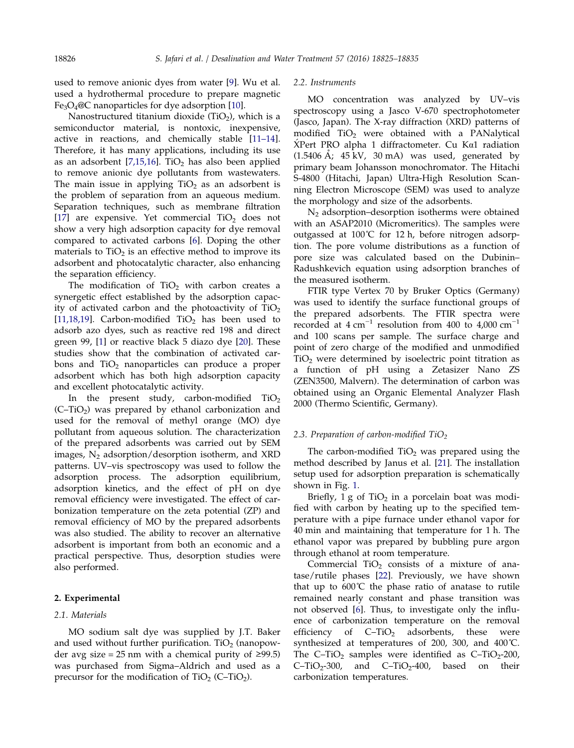used to remove anionic dyes from water [\[9](#page-10-0)]. Wu et al. used a hydrothermal procedure to prepare magnetic Fe<sub>3</sub>O<sub>4</sub>@C nanoparticles for dye adsorption [[10](#page-10-0)].

Nanostructured titanium dioxide  $(TiO<sub>2</sub>)$ , which is a semiconductor material, is nontoxic, inexpensive, active in reactions, and chemically stable [[11–14](#page-10-0)]. Therefore, it has many applications, including its use as an adsorbent [\[7,15,16](#page-10-0)]. TiO<sub>2</sub> has also been applied to remove anionic dye pollutants from wastewaters. The main issue in applying  $TiO<sub>2</sub>$  as an adsorbent is the problem of separation from an aqueous medium. Separation techniques, such as membrane filtration [[17\]](#page-10-0) are expensive. Yet commercial  $TiO<sub>2</sub>$  does not show a very high adsorption capacity for dye removal compared to activated carbons [\[6](#page-10-0)]. Doping the other materials to  $TiO<sub>2</sub>$  is an effective method to improve its adsorbent and photocatalytic character, also enhancing the separation efficiency.

The modification of  $TiO<sub>2</sub>$  with carbon creates a synergetic effect established by the adsorption capacity of activated carbon and the photoactivity of  $TiO<sub>2</sub>$ [[11,18,19\]](#page-10-0). Carbon-modified  $TiO<sub>2</sub>$  has been used to adsorb azo dyes, such as reactive red 198 and direct green 99, [[1\]](#page-9-0) or reactive black 5 diazo dye [[20](#page-10-0)]. These studies show that the combination of activated carbons and TiO<sub>2</sub> nanoparticles can produce a proper adsorbent which has both high adsorption capacity and excellent photocatalytic activity.

In the present study, carbon-modified  $TiO<sub>2</sub>$  $(C-TiO<sub>2</sub>)$  was prepared by ethanol carbonization and used for the removal of methyl orange (MO) dye pollutant from aqueous solution. The characterization of the prepared adsorbents was carried out by SEM images,  $N_2$  adsorption/desorption isotherm, and XRD patterns. UV–vis spectroscopy was used to follow the adsorption process. The adsorption equilibrium, adsorption kinetics, and the effect of pH on dye removal efficiency were investigated. The effect of carbonization temperature on the zeta potential (ZP) and removal efficiency of MO by the prepared adsorbents was also studied. The ability to recover an alternative adsorbent is important from both an economic and a practical perspective. Thus, desorption studies were also performed.

# 2. Experimental

#### 2.1. Materials

MO sodium salt dye was supplied by J.T. Baker and used without further purification.  $TiO<sub>2</sub>$  (nanopowder avg size = 25 nm with a chemical purity of  $≥99.5$ ) was purchased from Sigma–Aldrich and used as a precursor for the modification of  $TiO<sub>2</sub>$  (C–TiO<sub>2</sub>).

#### 2.2. Instruments

MO concentration was analyzed by UV–vis spectroscopy using a Jasco V-670 spectrophotometer (Jasco, Japan). The X-ray diffraction (XRD) patterns of modified  $TiO<sub>2</sub>$  were obtained with a PANalytical  $X$ Pert PRO alpha 1 diffractometer. Cu K $\alpha$ 1 radiation  $(1.5406 \text{ Å}; 45 \text{ kV}, 30 \text{ mA})$  was used, generated by primary beam Johansson monochromator. The Hitachi S-4800 (Hitachi, Japan) Ultra-High Resolution Scanning Electron Microscope (SEM) was used to analyze the morphology and size of the adsorbents.

 $N_2$  adsorption–desorption isotherms were obtained with an ASAP2010 (Micromeritics). The samples were outgassed at  $100^{\circ}C$  for 12 h, before nitrogen adsorption. The pore volume distributions as a function of pore size was calculated based on the Dubinin– Radushkevich equation using adsorption branches of the measured isotherm.

FTIR type Vertex 70 by Bruker Optics (Germany) was used to identify the surface functional groups of the prepared adsorbents. The FTIR spectra were recorded at 4 cm<sup>-1</sup> resolution from 400 to 4,000 cm<sup>-1</sup> and 100 scans per sample. The surface charge and point of zero charge of the modified and unmodified  $TiO<sub>2</sub>$  were determined by isoelectric point titration as a function of pH using a Zetasizer Nano ZS (ZEN3500, Malvern). The determination of carbon was obtained using an Organic Elemental Analyzer Flash 2000 (Thermo Scientific, Germany).

## 2.3. Preparation of carbon-modified  $TiO<sub>2</sub>$

The carbon-modified  $TiO<sub>2</sub>$  was prepared using the method described by Janus et al. [[21\]](#page-10-0). The installation setup used for adsorption preparation is schematically shown in Fig. [1](#page-2-0).

Briefly,  $1 g$  of TiO<sub>2</sub> in a porcelain boat was modified with carbon by heating up to the specified temperature with a pipe furnace under ethanol vapor for 40 min and maintaining that temperature for 1 h. The ethanol vapor was prepared by bubbling pure argon through ethanol at room temperature.

Commercial  $TiO<sub>2</sub>$  consists of a mixture of anatase/rutile phases [[22\]](#page-10-0). Previously, we have shown that up to 600˚C the phase ratio of anatase to rutile remained nearly constant and phase transition was not observed [[6\]](#page-10-0). Thus, to investigate only the influence of carbonization temperature on the removal efficiency of  $C-TiO<sub>2</sub>$  adsorbents, these were synthesized at temperatures of 200, 300, and 400˚C. The C–TiO<sub>2</sub> samples were identified as C–TiO<sub>2</sub>-200,  $C-TiO<sub>2</sub>-300$ , and  $C-TiO<sub>2</sub>-400$ , based on their carbonization temperatures.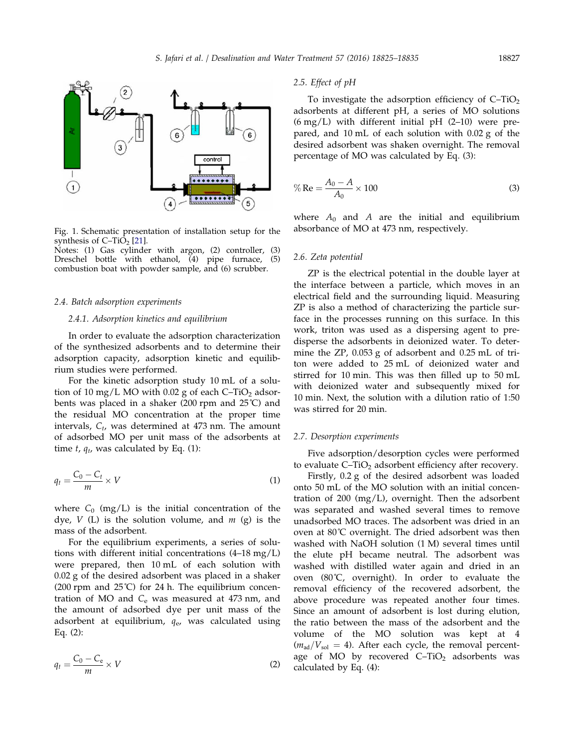<span id="page-2-0"></span>

Fig. 1. Schematic presentation of installation setup for the synthesis of  $C-TiO<sub>2</sub>$  [\[21](#page-10-0)].

 $\overline{4}$ 

Notes: (1) Gas cylinder with argon, (2) controller, (3) Dreschel bottle with ethanol, (4) pipe furnace, (5) Dreschel bottle with ethanol,  $(4)$  pipe furnace, combustion boat with powder sample, and (6) scrubber.

## 2.4. Batch adsorption experiments

#### 2.4.1. Adsorption kinetics and equilibrium

In order to evaluate the adsorption characterization of the synthesized adsorbents and to determine their adsorption capacity, adsorption kinetic and equilibrium studies were performed.

For the kinetic adsorption study 10 mL of a solution of 10 mg/L MO with 0.02 g of each  $C-TiO<sub>2</sub>$  adsorbents was placed in a shaker (200 rpm and 25˚C) and the residual MO concentration at the proper time intervals,  $C_t$ , was determined at 473 nm. The amount of adsorbed MO per unit mass of the adsorbents at time  $t$ ,  $q_t$ , was calculated by Eq. (1):

$$
q_t = \frac{C_0 - C_t}{m} \times V \tag{1}
$$

where  $C_0$  (mg/L) is the initial concentration of the dye,  $V$  (L) is the solution volume, and  $m$  (g) is the mass of the adsorbent.

For the equilibrium experiments, a series of solutions with different initial concentrations (4–18 mg/L) were prepared, then 10 mL of each solution with 0.02 g of the desired adsorbent was placed in a shaker (200 rpm and  $25^{\circ}$ C) for 24 h. The equilibrium concentration of MO and  $C_e$  was measured at 473 nm, and the amount of adsorbed dye per unit mass of the adsorbent at equilibrium,  $q_e$ , was calculated using Eq. (2):

$$
q_t = \frac{C_0 - C_e}{m} \times V \tag{2}
$$

## 2.5. Effect of pH

To investigate the adsorption efficiency of  $C-TiO<sub>2</sub>$ adsorbents at different pH, a series of MO solutions  $(6 \text{ mg/L})$  with different initial pH  $(2-10)$  were prepared, and 10 mL of each solution with 0.02 g of the desired adsorbent was shaken overnight. The removal percentage of MO was calculated by Eq. (3):

$$
\% \text{Re} = \frac{A_0 - A}{A_0} \times 100 \tag{3}
$$

where  $A_0$  and A are the initial and equilibrium absorbance of MO at 473 nm, respectively.

#### 2.6. Zeta potential

ZP is the electrical potential in the double layer at the interface between a particle, which moves in an electrical field and the surrounding liquid. Measuring ZP is also a method of characterizing the particle surface in the processes running on this surface. In this work, triton was used as a dispersing agent to predisperse the adsorbents in deionized water. To determine the ZP, 0.053 g of adsorbent and 0.25 mL of triton were added to 25 mL of deionized water and stirred for 10 min. This was then filled up to 50 mL with deionized water and subsequently mixed for 10 min. Next, the solution with a dilution ratio of 1:50 was stirred for 20 min.

#### 2.7. Desorption experiments

Five adsorption/desorption cycles were performed to evaluate  $C-TiO<sub>2</sub>$  adsorbent efficiency after recovery.

Firstly, 0.2 g of the desired adsorbent was loaded onto 50 mL of the MO solution with an initial concentration of 200 (mg/L), overnight. Then the adsorbent was separated and washed several times to remove unadsorbed MO traces. The adsorbent was dried in an oven at 80˚C overnight. The dried adsorbent was then washed with NaOH solution (1 M) several times until the elute pH became neutral. The adsorbent was washed with distilled water again and dried in an oven (80˚C, overnight). In order to evaluate the removal efficiency of the recovered adsorbent, the above procedure was repeated another four times. Since an amount of adsorbent is lost during elution, the ratio between the mass of the adsorbent and the volume of the MO solution was kept at 4  $(m_{\text{ad}}/V_{\text{sol}} = 4)$ . After each cycle, the removal percentage of MO by recovered  $C-TiO<sub>2</sub>$  adsorbents was calculated by Eq. (4):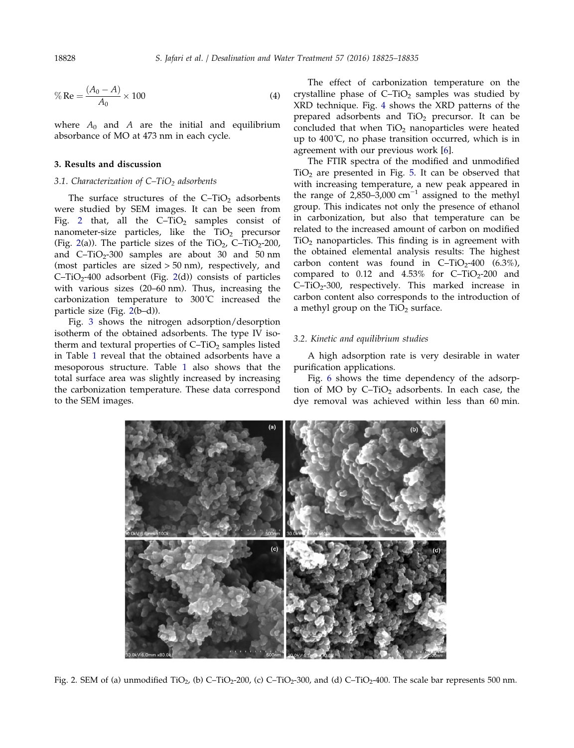$$
\% \text{Re} = \frac{(A_0 - A)}{A_0} \times 100 \tag{4}
$$

where  $A_0$  and A are the initial and equilibrium absorbance of MO at 473 nm in each cycle.

# 3. Results and discussion

#### 3.1. Characterization of  $C-TiO<sub>2</sub>$  adsorbents

The surface structures of the  $C-TiO<sub>2</sub>$  adsorbents were studied by SEM images. It can be seen from Fig. 2 that, all the  $C-TiO<sub>2</sub>$  samples consist of nanometer-size particles, like the  $TiO<sub>2</sub>$  precursor (Fig. 2(a)). The particle sizes of the  $TiO<sub>2</sub>$ , C–TiO<sub>2</sub>-200, and  $C-TiO<sub>2</sub>-300$  samples are about 30 and 50 nm (most particles are sized > 50 nm), respectively, and  $C-TiO<sub>2</sub>-400$  adsorbent (Fig. 2(d)) consists of particles with various sizes (20–60 nm). Thus, increasing the carbonization temperature to 300˚C increased the particle size (Fig. 2(b–d)).

Fig. [3](#page-4-0) shows the nitrogen adsorption/desorption isotherm of the obtained adsorbents. The type IV isotherm and textural properties of  $C-TiO<sub>2</sub>$  samples listed in Table [1](#page-4-0) reveal that the obtained adsorbents have a mesoporous structure. Table [1](#page-4-0) also shows that the total surface area was slightly increased by increasing the carbonization temperature. These data correspond to the SEM images.

The effect of carbonization temperature on the crystalline phase of  $C-TiO<sub>2</sub>$  samples was studied by XRD technique. Fig. [4](#page-5-0) shows the XRD patterns of the prepared adsorbents and  $TiO<sub>2</sub>$  precursor. It can be concluded that when  $TiO<sub>2</sub>$  nanoparticles were heated up to 400˚C, no phase transition occurred, which is in agreement with our previous work [\[6](#page-10-0)].

The FTIR spectra of the modified and unmodified  $TiO<sub>2</sub>$  are presented in Fig. [5.](#page-5-0) It can be observed that with increasing temperature, a new peak appeared in the range of 2,850–3,000 cm<sup>-1</sup> assigned to the methyl group. This indicates not only the presence of ethanol in carbonization, but also that temperature can be related to the increased amount of carbon on modified  $TiO<sub>2</sub>$  nanoparticles. This finding is in agreement with the obtained elemental analysis results: The highest carbon content was found in  $C-TiO<sub>2</sub>-400$  (6.3%), compared to  $0.12$  and  $4.53\%$  for C-TiO<sub>2</sub>-200 and  $C-TiO<sub>2</sub>-300$ , respectively. This marked increase in carbon content also corresponds to the introduction of a methyl group on the  $TiO<sub>2</sub>$  surface.

# 3.2. Kinetic and equilibrium studies

A high adsorption rate is very desirable in water purification applications.

Fig. [6](#page-5-0) shows the time dependency of the adsorption of MO by  $C-TiO<sub>2</sub>$  adsorbents. In each case, the dye removal was achieved within less than 60 min.



Fig. 2. SEM of (a) unmodified TiO<sub>2</sub>, (b) C–TiO<sub>2</sub>-200, (c) C–TiO<sub>2</sub>-300, and (d) C–TiO<sub>2</sub>-400. The scale bar represents 500 nm.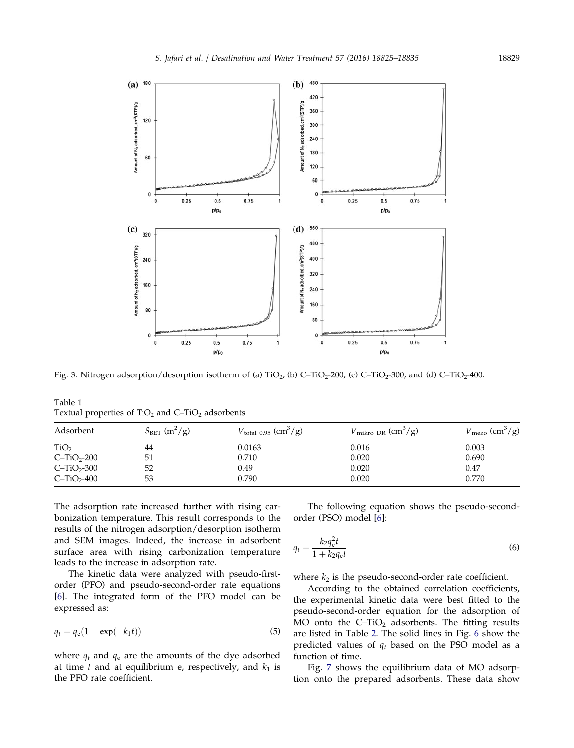<span id="page-4-0"></span>

Fig. 3. Nitrogen adsorption/desorption isotherm of (a)  $TiO<sub>2</sub>$ , (b) C– $TiO<sub>2</sub>$ -200, (c) C– $TiO<sub>2</sub>$ -300, and (d) C– $TiO<sub>2</sub>$ -400.

Table 1 Textual properties of  $TiO<sub>2</sub>$  and  $C-TiO<sub>2</sub>$  adsorbents

| Adsorbent        | $S_{\text{BET}}$ (m <sup>2</sup> /g) | $V_{\text{total }0.95}$ (cm <sup>3</sup> /g) | $V_{\text{mikro DR}}$ (cm <sup>3</sup> /g) | $V_{\text{mezo}}$ (cm <sup>3</sup> /g) |
|------------------|--------------------------------------|----------------------------------------------|--------------------------------------------|----------------------------------------|
| TiO <sub>2</sub> | 44                                   | 0.0163                                       | 0.016                                      | 0.003                                  |
| $C-TiO2-200$     | -51                                  | 0.710                                        | 0.020                                      | 0.690                                  |
| $C-TiO2-300$     | 52                                   | 0.49                                         | 0.020                                      | 0.47                                   |
| $C-TiO2-400$     | 53                                   | 0.790                                        | 0.020                                      | 0.770                                  |

The adsorption rate increased further with rising carbonization temperature. This result corresponds to the results of the nitrogen adsorption/desorption isotherm and SEM images. Indeed, the increase in adsorbent surface area with rising carbonization temperature leads to the increase in adsorption rate.

The kinetic data were analyzed with pseudo-firstorder (PFO) and pseudo-second-order rate equations [[6\]](#page-10-0). The integrated form of the PFO model can be expressed as:

$$
q_t = q_e(1 - \exp(-k_1 t))
$$
\n(5)

where  $q_t$  and  $q_e$  are the amounts of the dye adsorbed at time  $t$  and at equilibrium e, respectively, and  $k_1$  is the PFO rate coefficient.

The following equation shows the pseudo-secondorder (PSO) model [\[6](#page-10-0)]:

$$
q_t = \frac{k_2 q_c^2 t}{1 + k_2 q_c t} \tag{6}
$$

where  $k_2$  is the pseudo-second-order rate coefficient.

According to the obtained correlation coefficients, the experimental kinetic data were best fitted to the pseudo-second-order equation for the adsorption of MO onto the  $C-TiO<sub>2</sub>$  adsorbents. The fitting results are listed in Table [2](#page-6-0). The solid lines in Fig. [6](#page-5-0) show the predicted values of  $q_t$  based on the PSO model as a function of time.

Fig. [7](#page-6-0) shows the equilibrium data of MO adsorption onto the prepared adsorbents. These data show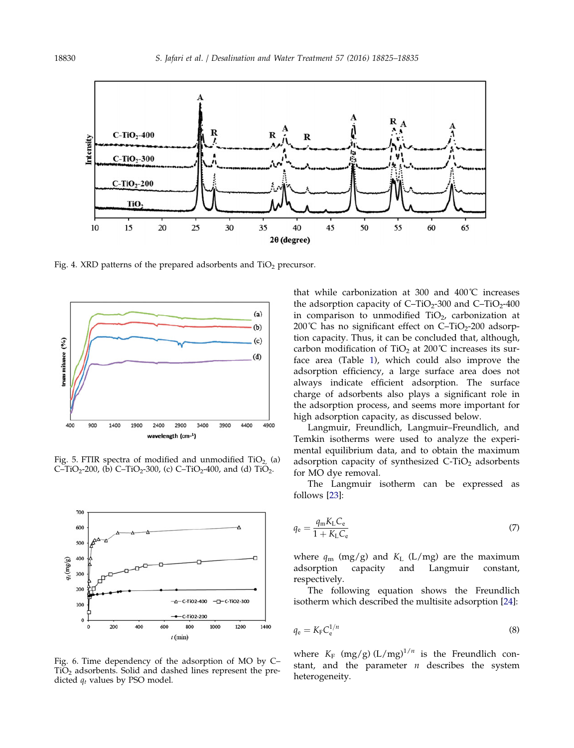<span id="page-5-0"></span>

Fig. 4. XRD patterns of the prepared adsorbents and  $TiO<sub>2</sub>$  precursor.



Fig. 5. FTIR spectra of modified and unmodified  $TiO<sub>2</sub>$  (a) C–TiO<sub>2</sub>-200, (b) C–TiO<sub>2</sub>-300, (c) C–TiO<sub>2</sub>-400, and (d) TiO<sub>2</sub>.



Fig. 6. Time dependency of the adsorption of MO by C–  $TiO<sub>2</sub>$  adsorbents. Solid and dashed lines represent the predicted  $q_t$  values by PSO model.

that while carbonization at 300 and 400˚C increases the adsorption capacity of  $C-TiO<sub>2</sub>-300$  and  $C-TiO<sub>2</sub>-400$ in comparison to unmodified  $TiO<sub>2</sub>$ , carbonization at 200℃ has no significant effect on  $C-TiO<sub>2</sub>-200$  adsorption capacity. Thus, it can be concluded that, although, carbon modification of TiO<sub>2</sub> at 200 $^{\circ}$ C increases its surface area (Table [1](#page-4-0)), which could also improve the adsorption efficiency, a large surface area does not always indicate efficient adsorption. The surface charge of adsorbents also plays a significant role in the adsorption process, and seems more important for high adsorption capacity, as discussed below.

Langmuir, Freundlich, Langmuir–Freundlich, and Temkin isotherms were used to analyze the experimental equilibrium data, and to obtain the maximum adsorption capacity of synthesized  $C-TiO<sub>2</sub>$  adsorbents for MO dye removal.

The Langmuir isotherm can be expressed as follows [[23](#page-10-0)]:

$$
q_{\rm e} = \frac{q_{\rm m} K_{\rm L} C_{\rm e}}{1 + K_{\rm L} C_{\rm e}}\tag{7}
$$

where  $q_m$  (mg/g) and  $K_L$  (L/mg) are the maximum adsorption capacity and Langmuir constant, respectively.

The following equation shows the Freundlich isotherm which described the multisite adsorption [[24\]](#page-10-0):

$$
q_{\rm e} = K_{\rm F} C_{\rm e}^{1/n} \tag{8}
$$

where  $K_F$  (mg/g)  $(L/mg)^{1/n}$  is the Freundlich constant, and the parameter  $n$  describes the system heterogeneity.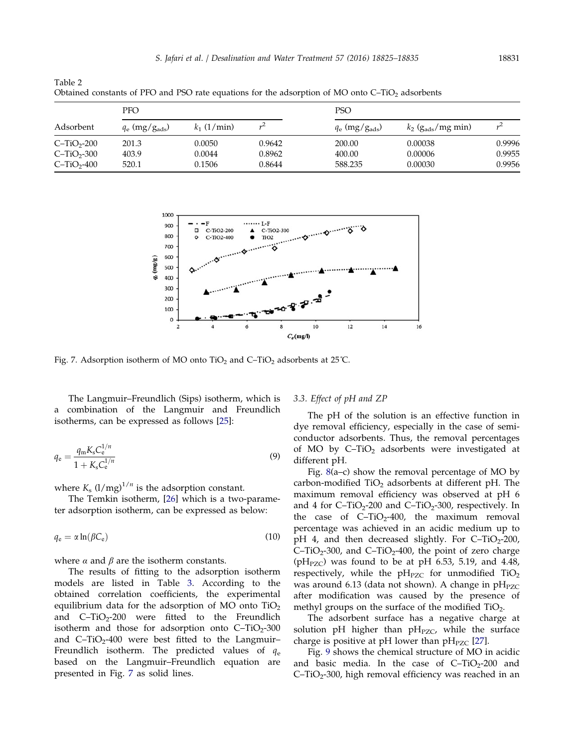| Obtained constants of PFO and PSO rate equations for the adsorption of MO onto $C-TiO2$ adsorbents |                              |                            |                            |                              |                               |                            |  |  |  |
|----------------------------------------------------------------------------------------------------|------------------------------|----------------------------|----------------------------|------------------------------|-------------------------------|----------------------------|--|--|--|
| Adsorbent                                                                                          | <b>PFO</b>                   |                            |                            | <b>PSO</b>                   |                               |                            |  |  |  |
|                                                                                                    | $q_e$ (mg/g <sub>ads</sub> ) | $k_1$ (1/min)              |                            | $q_e$ (mg/g <sub>ads</sub> ) | $k_2$ ( $g_{ads}/mg$ min)     |                            |  |  |  |
| $C-TiO2-200$<br>$C-TiO2-300$<br>$C-TiO2-400$                                                       | 201.3<br>403.9<br>520.1      | 0.0050<br>0.0044<br>0.1506 | 0.9642<br>0.8962<br>0.8644 | 200.00<br>400.00<br>588.235  | 0.00038<br>0.00006<br>0.00030 | 0.9996<br>0.9955<br>0.9956 |  |  |  |



Fig. 7. Adsorption isotherm of MO onto  $TiO<sub>2</sub>$  and C–TiO<sub>2</sub> adsorbents at 25<sup>°</sup>C.

The Langmuir–Freundlich (Sips) isotherm, which is a combination of the Langmuir and Freundlich isotherms, can be expressed as follows [\[25\]](#page-10-0):

$$
q_{e} = \frac{q_{m}K_{s}C_{e}^{1/n}}{1 + K_{s}C_{e}^{1/n}}
$$
\n(9)

where  $K_s$  (l/mg)<sup>1/n</sup> is the adsorption constant.

<span id="page-6-0"></span>Table 2

The Temkin isotherm, [[26](#page-10-0)] which is a two-parameter adsorption isotherm, can be expressed as below:

$$
q_{\rm e} = \alpha \ln(\beta C_{\rm e}) \tag{10}
$$

where  $\alpha$  and  $\beta$  are the isotherm constants.

The results of fitting to the adsorption isotherm models are listed in Table [3.](#page-7-0) According to the obtained correlation coefficients, the experimental equilibrium data for the adsorption of MO onto  $TiO<sub>2</sub>$ and  $C-TiO<sub>2</sub>-200$  were fitted to the Freundlich isotherm and those for adsorption onto  $C-TiO<sub>2</sub>-300$ and  $C-TiO<sub>2</sub>-400$  were best fitted to the Langmuir– Freundlich isotherm. The predicted values of  $q_e$ based on the Langmuir–Freundlich equation are presented in Fig. 7 as solid lines.

# 3.3. Effect of pH and ZP

The pH of the solution is an effective function in dye removal efficiency, especially in the case of semiconductor adsorbents. Thus, the removal percentages of MO by  $C-TiO<sub>2</sub>$  adsorbents were investigated at different pH.

Fig. [8](#page-7-0)(a–c) show the removal percentage of MO by carbon-modified  $TiO<sub>2</sub>$  adsorbents at different pH. The maximum removal efficiency was observed at pH 6 and 4 for  $C-TiO<sub>2</sub>-200$  and  $C-TiO<sub>2</sub>-300$ , respectively. In the case of  $C-TiO<sub>2</sub>-400$ , the maximum removal percentage was achieved in an acidic medium up to pH 4, and then decreased slightly. For  $C-TiO<sub>2</sub>-200$ , C–TiO<sub>2</sub>-300, and C–TiO<sub>2</sub>-400, the point of zero charge ( $pH<sub>PZC</sub>$ ) was found to be at  $pH$  6.53, 5.19, and 4.48, respectively, while the  $pH_{PZC}$  for unmodified  $TiO<sub>2</sub>$ was around 6.13 (data not shown). A change in  $pH_{PZC}$ after modification was caused by the presence of methyl groups on the surface of the modified  $TiO<sub>2</sub>$ .

The adsorbent surface has a negative charge at solution pH higher than  $pH_{PZC}$ , while the surface charge is positive at pH lower than  $pH_{PZC}$  [[27](#page-10-0)].

Fig. [9](#page-8-0) shows the chemical structure of MO in acidic and basic media. In the case of  $C-TiO<sub>2</sub>-200$  and  $C-TiO<sub>2</sub>-300$ , high removal efficiency was reached in an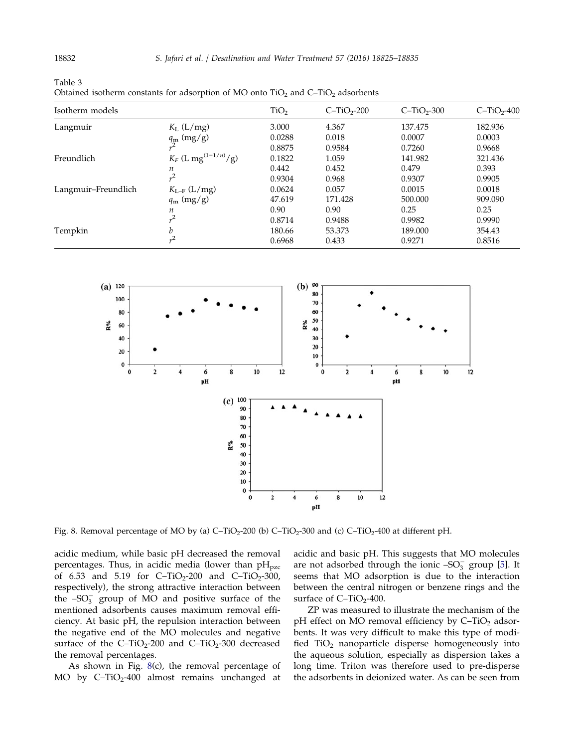| Isotherm models     |                                    | TiO <sub>2</sub> | $C-TiO2-200$ | $C-TiO2-300$ | $C-TiO2-400$ |
|---------------------|------------------------------------|------------------|--------------|--------------|--------------|
| Langmuir            | $K_L$ (L/mg)                       | 3.000            | 4.367        | 137.475      | 182.936      |
|                     | $q_{\rm m}$ (mg/g)                 | 0.0288           | 0.018        | 0.0007       | 0.0003       |
|                     |                                    | 0.8875           | 0.9584       | 0.7260       | 0.9668       |
| Freundlich          | $K_F$ (L mg <sup>(1-1/n)</sup> /g) | 0.1822           | 1.059        | 141.982      | 321.436      |
|                     | n                                  | 0.442            | 0.452        | 0.479        | 0.393        |
|                     | $^{2}$                             | 0.9304           | 0.968        | 0.9307       | 0.9905       |
| Langmuir-Freundlich | $K_{L-F}$ (L/mg)                   | 0.0624           | 0.057        | 0.0015       | 0.0018       |
|                     | $q_{\rm m}$ (mg/g)                 | 47.619           | 171.428      | 500.000      | 909.090      |
|                     | n                                  | 0.90             | 0.90         | 0.25         | 0.25         |
|                     | $^{2}$                             | 0.8714           | 0.9488       | 0.9982       | 0.9990       |
| Tempkin             | b                                  | 180.66           | 53.373       | 189.000      | 354.43       |
|                     |                                    | 0.6968           | 0.433        | 0.9271       | 0.8516       |

<span id="page-7-0"></span>Table 3 Obtained isotherm constants for adsorption of MO onto  $TiO<sub>2</sub>$  and  $C-TiO<sub>2</sub>$  adsorbents



Fig. 8. Removal percentage of MO by (a)  $C-TiO<sub>2</sub>$ -200 (b)  $C-TiO<sub>2</sub>$ -300 and (c)  $C-TiO<sub>2</sub>$ -400 at different pH.

acidic medium, while basic pH decreased the removal percentages. Thus, in acidic media (lower than  $pH_{pzc}$ of 6.53 and 5.19 for  $C-TiO_2-200$  and  $C-TiO_2-300$ , respectively), the strong attractive interaction between the  $-SO_3^-$  group of MO and positive surface of the mentioned adsorbents causes maximum removal efficiency. At basic pH, the repulsion interaction between the negative end of the MO molecules and negative surface of the  $C-TiO<sub>2</sub>-200$  and  $C-TiO<sub>2</sub>-300$  decreased the removal percentages.

As shown in Fig. 8(c), the removal percentage of MO by  $C-TiO<sub>2</sub>-400$  almost remains unchanged at acidic and basic pH. This suggests that MO molecules are not adsorbed through the ionic – $\mathrm{SO}_3^-$  group [\[5](#page-10-0)]. It seems that MO adsorption is due to the interaction between the central nitrogen or benzene rings and the surface of  $C-TiO<sub>2</sub>-400$ .

ZP was measured to illustrate the mechanism of the pH effect on MO removal efficiency by  $C-TiO<sub>2</sub>$  adsorbents. It was very difficult to make this type of modified  $TiO<sub>2</sub>$  nanoparticle disperse homogeneously into the aqueous solution, especially as dispersion takes a long time. Triton was therefore used to pre-disperse the adsorbents in deionized water. As can be seen from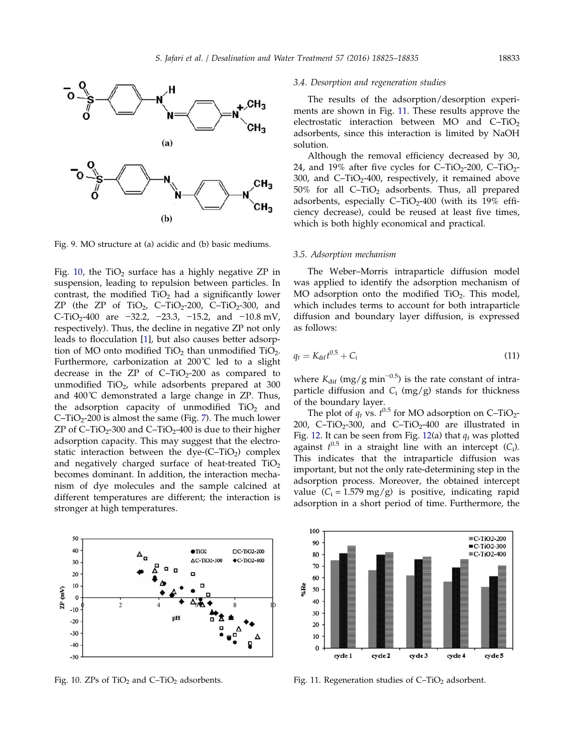<span id="page-8-0"></span>

Fig. 9. MO structure at (a) acidic and (b) basic mediums.

Fig. 10, the  $TiO<sub>2</sub>$  surface has a highly negative ZP in suspension, leading to repulsion between particles. In contrast, the modified  $TiO<sub>2</sub>$  had a significantly lower ZP (the ZP of TiO<sub>2</sub>, C–TiO<sub>2</sub>-200, C–TiO<sub>2</sub>-300, and C-TiO<sub>2</sub>-400 are  $-32.2$ ,  $-23.3$ ,  $-15.2$ , and  $-10.8$  mV, respectively). Thus, the decline in negative ZP not only leads to flocculation [[1](#page-9-0)], but also causes better adsorption of MO onto modified  $TiO<sub>2</sub>$  than unmodified  $TiO<sub>2</sub>$ . Furthermore, carbonization at 200˚C led to a slight decrease in the ZP of  $C-TiO<sub>2</sub>-200$  as compared to unmodified  $TiO<sub>2</sub>$ , while adsorbents prepared at 300 and  $400^{\circ}$ C demonstrated a large change in ZP. Thus, the adsorption capacity of unmodified  $TiO<sub>2</sub>$  and C–TiO<sub>2</sub>-200 is almost the same (Fig. [7\)](#page-6-0). The much lower ZP of  $C-TiO<sub>2</sub>$ -300 and  $C-TiO<sub>2</sub>$ -400 is due to their higher adsorption capacity. This may suggest that the electrostatic interaction between the dye- $(C-TiO<sub>2</sub>)$  complex and negatively charged surface of heat-treated  $TiO<sub>2</sub>$ becomes dominant. In addition, the interaction mechanism of dye molecules and the sample calcined at different temperatures are different; the interaction is stronger at high temperatures.



#### 3.4. Desorption and regeneration studies

The results of the adsorption/desorption experiments are shown in Fig. 11. These results approve the electrostatic interaction between MO and  $C-TiO<sub>2</sub>$ adsorbents, since this interaction is limited by NaOH solution.

Although the removal efficiency decreased by 30, 24, and 19% after five cycles for  $C-TiO<sub>2</sub>-200$ ,  $C-TiO<sub>2</sub>-$ 300, and  $C-TiO<sub>2</sub>-400$ , respectively, it remained above 50% for all  $C-TiO<sub>2</sub>$  adsorbents. Thus, all prepared adsorbents, especially  $C-TiO<sub>2</sub>-400$  (with its 19% efficiency decrease), could be reused at least five times, which is both highly economical and practical.

# 3.5. Adsorption mechanism

The Weber–Morris intraparticle diffusion model was applied to identify the adsorption mechanism of MO adsorption onto the modified  $TiO<sub>2</sub>$ . This model, which includes terms to account for both intraparticle diffusion and boundary layer diffusion, is expressed as follows:

$$
q_t = K_{\text{dif}}t^{0.5} + C_i \tag{11}
$$

where  $K_{\text{dif}}$  (mg/g min<sup>-0.5</sup>) is the rate constant of intraparticle diffusion and  $C_i$  (mg/g) stands for thickness of the boundary layer.

The plot of  $q_t$  vs.  $t^{0.5}$  for MO adsorption on C–TiO<sub>2</sub>-200, C-TiO<sub>2</sub>-300, and C-TiO<sub>2</sub>-400 are illustrated in Fig. [12](#page-9-0). It can be seen from Fig. 12(a) that  $q_t$  was plotted against  $t^{0.5}$  in a straight line with an intercept  $(C_i)$ . This indicates that the intraparticle diffusion was important, but not the only rate-determining step in the adsorption process. Moreover, the obtained intercept value  $(C_i = 1.579 \text{ mg/g})$  is positive, indicating rapid adsorption in a short period of time. Furthermore, the



Fig. 10. ZPs of TiO<sub>2</sub> and C–TiO<sub>2</sub> adsorbents. Fig. 11. Regeneration studies of C–TiO<sub>2</sub> adsorbent.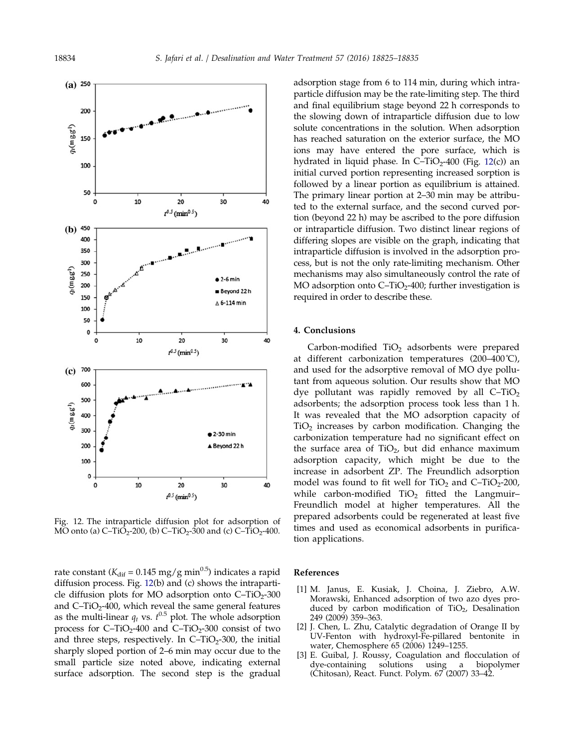<span id="page-9-0"></span>

Fig. 12. The intraparticle diffusion plot for adsorption of MO onto (a)  $C-TiO_2-200$ , (b)  $C-TiO_2-300$  and (c)  $C-TiO_2-400$ .

rate constant ( $K_{\text{dif}} = 0.145 \text{ mg/g min}^{0.5}$ ) indicates a rapid diffusion process. Fig. 12(b) and (c) shows the intraparticle diffusion plots for MO adsorption onto  $C-TiO<sub>2</sub>-300$ and  $C-TiO<sub>2</sub>-400$ , which reveal the same general features as the multi-linear  $q_t$  vs.  $t^{0.5}$  plot. The whole adsorption process for  $C-TiO<sub>2</sub>-400$  and  $C-TiO<sub>2</sub>-300$  consist of two and three steps, respectively. In  $C-TiO<sub>2</sub>-300$ , the initial sharply sloped portion of 2–6 min may occur due to the small particle size noted above, indicating external surface adsorption. The second step is the gradual adsorption stage from 6 to 114 min, during which intraparticle diffusion may be the rate-limiting step. The third and final equilibrium stage beyond 22 h corresponds to the slowing down of intraparticle diffusion due to low solute concentrations in the solution. When adsorption has reached saturation on the exterior surface, the MO ions may have entered the pore surface, which is hydrated in liquid phase. In  $C-TiO<sub>2</sub>-400$  (Fig. 12(c)) an initial curved portion representing increased sorption is followed by a linear portion as equilibrium is attained. The primary linear portion at 2–30 min may be attributed to the external surface, and the second curved portion (beyond 22 h) may be ascribed to the pore diffusion or intraparticle diffusion. Two distinct linear regions of differing slopes are visible on the graph, indicating that intraparticle diffusion is involved in the adsorption process, but is not the only rate-limiting mechanism. Other mechanisms may also simultaneously control the rate of MO adsorption onto  $C-TiO<sub>2</sub>$ -400; further investigation is required in order to describe these.

## 4. Conclusions

Carbon-modified  $TiO<sub>2</sub>$  adsorbents were prepared at different carbonization temperatures (200–400˚C), and used for the adsorptive removal of MO dye pollutant from aqueous solution. Our results show that MO dye pollutant was rapidly removed by all  $C-TiO<sub>2</sub>$ adsorbents; the adsorption process took less than 1 h. It was revealed that the MO adsorption capacity of  $TiO<sub>2</sub>$  increases by carbon modification. Changing the carbonization temperature had no significant effect on the surface area of  $TiO<sub>2</sub>$ , but did enhance maximum adsorption capacity, which might be due to the increase in adsorbent ZP. The Freundlich adsorption model was found to fit well for  $TiO<sub>2</sub>$  and  $C-TiO<sub>2</sub>-200$ , while carbon-modified  $TiO<sub>2</sub>$  fitted the Langmuir-Freundlich model at higher temperatures. All the prepared adsorbents could be regenerated at least five times and used as economical adsorbents in purification applications.

#### References

- [1] M. Janus, E. Kusiak, J. Choina, J. Ziebro, A.W. Morawski, Enhanced adsorption of two azo dyes produced by carbon modification of  $TiO<sub>2</sub>$ , Desalination 249 (2009) 359–363.
- [2] J. Chen, L. Zhu, Catalytic degradation of Orange II by UV-Fenton with hydroxyl-Fe-pillared bentonite in water, Chemosphere 65 (2006) 1249–1255.
- [3] E. Guibal, J. Roussy, Coagulation and flocculation of dye-containing solutions using a biopolymer (Chitosan), React. Funct. Polym. 67 (2007) 33–42.